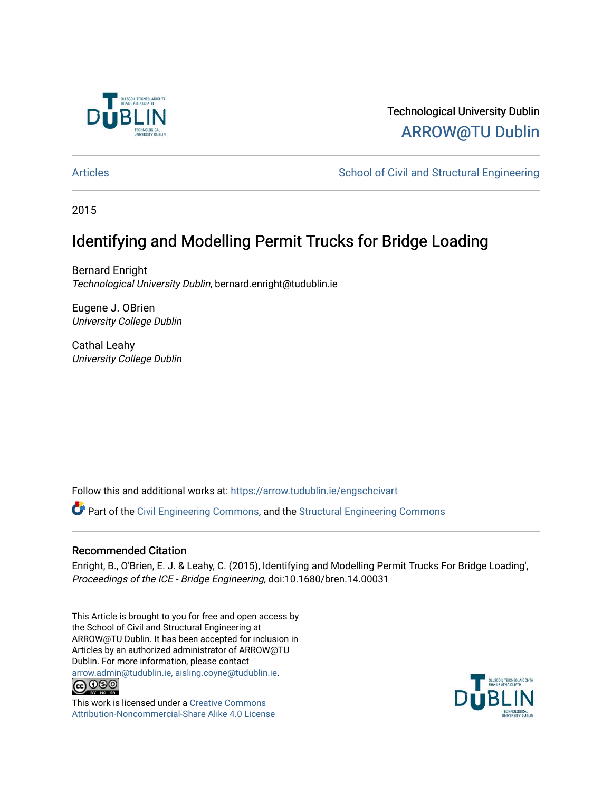

# Technological University Dublin [ARROW@TU Dublin](https://arrow.tudublin.ie/)

[Articles](https://arrow.tudublin.ie/engschcivart) **School of Civil and Structural Engineering** School of Civil and Structural Engineering

2015

# Identifying and Modelling Permit Trucks for Bridge Loading

Bernard Enright Technological University Dublin, bernard.enright@tudublin.ie

Eugene J. OBrien University College Dublin

Cathal Leahy University College Dublin

Follow this and additional works at: [https://arrow.tudublin.ie/engschcivart](https://arrow.tudublin.ie/engschcivart?utm_source=arrow.tudublin.ie%2Fengschcivart%2F62&utm_medium=PDF&utm_campaign=PDFCoverPages)

Part of the [Civil Engineering Commons](http://network.bepress.com/hgg/discipline/252?utm_source=arrow.tudublin.ie%2Fengschcivart%2F62&utm_medium=PDF&utm_campaign=PDFCoverPages), and the [Structural Engineering Commons](http://network.bepress.com/hgg/discipline/256?utm_source=arrow.tudublin.ie%2Fengschcivart%2F62&utm_medium=PDF&utm_campaign=PDFCoverPages) 

# Recommended Citation

Enright, B., O'Brien, E. J. & Leahy, C. (2015), Identifying and Modelling Permit Trucks For Bridge Loading', Proceedings of the ICE - Bridge Engineering, doi:10.1680/bren.14.00031

This Article is brought to you for free and open access by the School of Civil and Structural Engineering at ARROW@TU Dublin. It has been accepted for inclusion in Articles by an authorized administrator of ARROW@TU Dublin. For more information, please contact [arrow.admin@tudublin.ie, aisling.coyne@tudublin.ie](mailto:arrow.admin@tudublin.ie,%20aisling.coyne@tudublin.ie).<br>
co 000



This work is licensed under a [Creative Commons](http://creativecommons.org/licenses/by-nc-sa/4.0/) [Attribution-Noncommercial-Share Alike 4.0 License](http://creativecommons.org/licenses/by-nc-sa/4.0/)

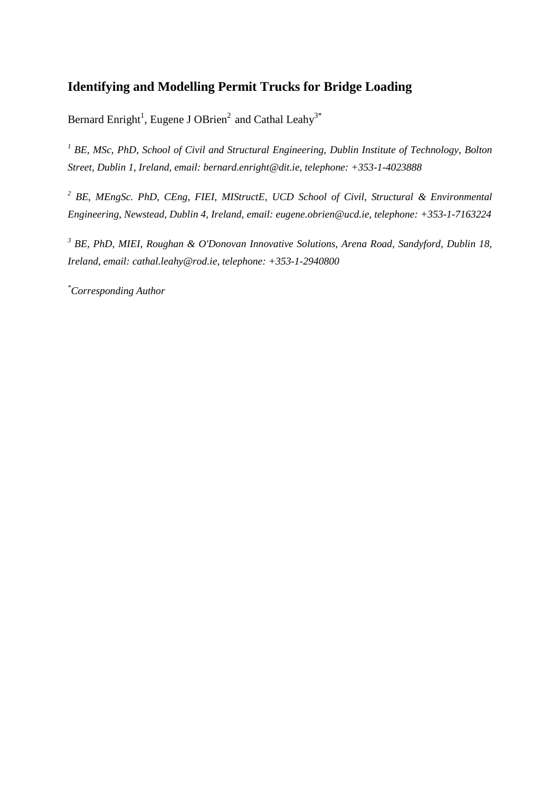# **Identifying and Modelling Permit Trucks for Bridge Loading**

Bernard Enright<sup>1</sup>, Eugene J OBrien<sup>2</sup> and Cathal Leahy<sup>3\*</sup>

*<sup>1</sup> BE, MSc, PhD, School of Civil and Structural Engineering, Dublin Institute of Technology, Bolton Street, Dublin 1, Ireland, email: bernard.enright@dit.ie, telephone: +353-1-4023888*

*<sup>2</sup> BE, MEngSc. PhD, CEng, FIEI, MIStructE, UCD School of Civil, Structural & Environmental Engineering, Newstead, Dublin 4, Ireland, email: eugene.obrien@ucd.ie, telephone: +353-1-7163224*

*<sup>3</sup> BE, PhD, MIEI, Roughan & O'Donovan Innovative Solutions, Arena Road, Sandyford, Dublin 18, Ireland, email: cathal.leahy@rod.ie, telephone: +353-1-2940800*

*\*Corresponding Author*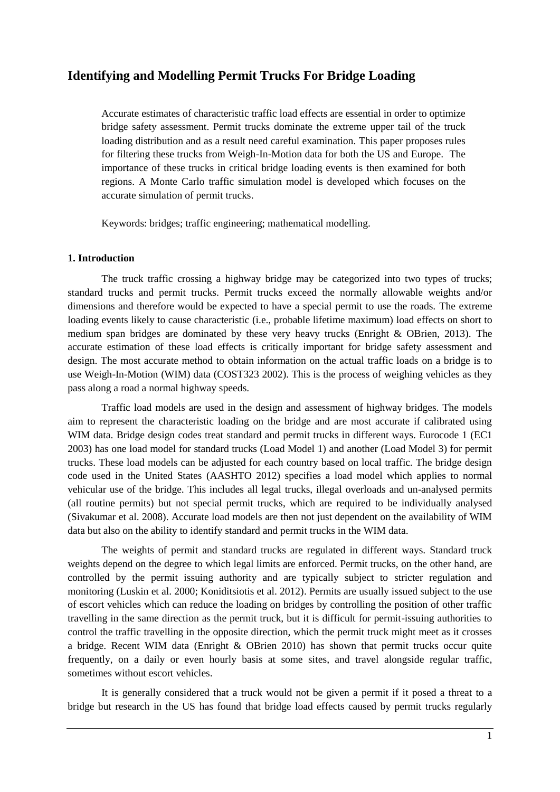# **Identifying and Modelling Permit Trucks For Bridge Loading**

Accurate estimates of characteristic traffic load effects are essential in order to optimize bridge safety assessment. Permit trucks dominate the extreme upper tail of the truck loading distribution and as a result need careful examination. This paper proposes rules for filtering these trucks from Weigh-In-Motion data for both the US and Europe. The importance of these trucks in critical bridge loading events is then examined for both regions. A Monte Carlo traffic simulation model is developed which focuses on the accurate simulation of permit trucks.

Keywords: bridges; traffic engineering; mathematical modelling.

#### **1. Introduction**

The truck traffic crossing a highway bridge may be categorized into two types of trucks; standard trucks and permit trucks. Permit trucks exceed the normally allowable weights and/or dimensions and therefore would be expected to have a special permit to use the roads. The extreme loading events likely to cause characteristic (i.e., probable lifetime maximum) load effects on short to medium span bridges are dominated by these very heavy trucks (Enright & OBrien, 2013). The accurate estimation of these load effects is critically important for bridge safety assessment and design. The most accurate method to obtain information on the actual traffic loads on a bridge is to use Weigh-In-Motion (WIM) data (COST323 2002). This is the process of weighing vehicles as they pass along a road a normal highway speeds.

Traffic load models are used in the design and assessment of highway bridges. The models aim to represent the characteristic loading on the bridge and are most accurate if calibrated using WIM data. Bridge design codes treat standard and permit trucks in different ways. Eurocode 1 (EC1) 2003) has one load model for standard trucks (Load Model 1) and another (Load Model 3) for permit trucks. These load models can be adjusted for each country based on local traffic. The bridge design code used in the United States (AASHTO 2012) specifies a load model which applies to normal vehicular use of the bridge. This includes all legal trucks, illegal overloads and un-analysed permits (all routine permits) but not special permit trucks, which are required to be individually analysed (Sivakumar et al. 2008). Accurate load models are then not just dependent on the availability of WIM data but also on the ability to identify standard and permit trucks in the WIM data.

The weights of permit and standard trucks are regulated in different ways. Standard truck weights depend on the degree to which legal limits are enforced. Permit trucks, on the other hand, are controlled by the permit issuing authority and are typically subject to stricter regulation and monitoring (Luskin et al. 2000; Koniditsiotis et al. 2012). Permits are usually issued subject to the use of escort vehicles which can reduce the loading on bridges by controlling the position of other traffic travelling in the same direction as the permit truck, but it is difficult for permit-issuing authorities to control the traffic travelling in the opposite direction, which the permit truck might meet as it crosses a bridge. Recent WIM data (Enright & OBrien 2010) has shown that permit trucks occur quite frequently, on a daily or even hourly basis at some sites, and travel alongside regular traffic, sometimes without escort vehicles.

It is generally considered that a truck would not be given a permit if it posed a threat to a bridge but research in the US has found that bridge load effects caused by permit trucks regularly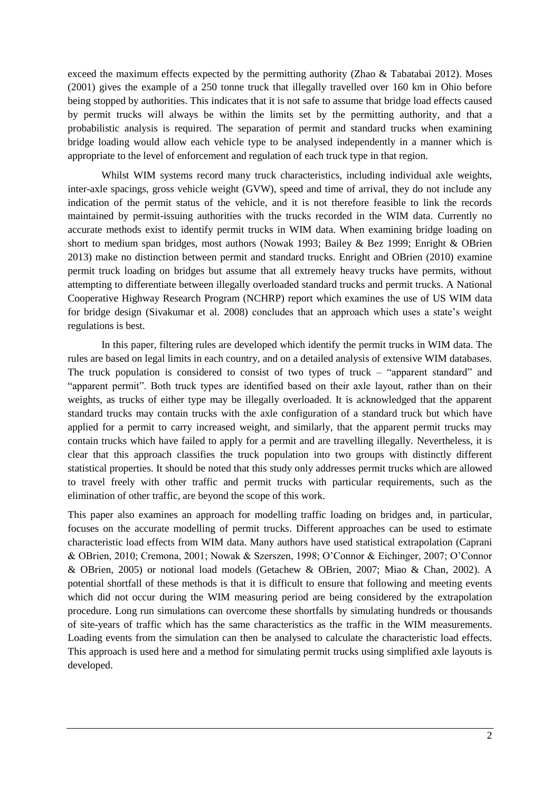exceed the maximum effects expected by the permitting authority (Zhao  $\&$  Tabatabai 2012). Moses (2001) gives the example of a 250 tonne truck that illegally travelled over 160 km in Ohio before being stopped by authorities. This indicates that it is not safe to assume that bridge load effects caused by permit trucks will always be within the limits set by the permitting authority, and that a probabilistic analysis is required. The separation of permit and standard trucks when examining bridge loading would allow each vehicle type to be analysed independently in a manner which is appropriate to the level of enforcement and regulation of each truck type in that region.

Whilst WIM systems record many truck characteristics, including individual axle weights, inter-axle spacings, gross vehicle weight (GVW), speed and time of arrival, they do not include any indication of the permit status of the vehicle, and it is not therefore feasible to link the records maintained by permit-issuing authorities with the trucks recorded in the WIM data. Currently no accurate methods exist to identify permit trucks in WIM data. When examining bridge loading on short to medium span bridges, most authors (Nowak 1993; Bailey & Bez 1999; Enright & OBrien 2013) make no distinction between permit and standard trucks. Enright and OBrien (2010) examine permit truck loading on bridges but assume that all extremely heavy trucks have permits, without attempting to differentiate between illegally overloaded standard trucks and permit trucks. A National Cooperative Highway Research Program (NCHRP) report which examines the use of US WIM data for bridge design (Sivakumar et al. 2008) concludes that an approach which uses a state's weight regulations is best.

In this paper, filtering rules are developed which identify the permit trucks in WIM data. The rules are based on legal limits in each country, and on a detailed analysis of extensive WIM databases. The truck population is considered to consist of two types of truck – "apparent standard" and "apparent permit". Both truck types are identified based on their axle layout, rather than on their weights, as trucks of either type may be illegally overloaded. It is acknowledged that the apparent standard trucks may contain trucks with the axle configuration of a standard truck but which have applied for a permit to carry increased weight, and similarly, that the apparent permit trucks may contain trucks which have failed to apply for a permit and are travelling illegally. Nevertheless, it is clear that this approach classifies the truck population into two groups with distinctly different statistical properties. It should be noted that this study only addresses permit trucks which are allowed to travel freely with other traffic and permit trucks with particular requirements, such as the elimination of other traffic, are beyond the scope of this work.

This paper also examines an approach for modelling traffic loading on bridges and, in particular, focuses on the accurate modelling of permit trucks. Different approaches can be used to estimate characteristic load effects from WIM data. Many authors have used statistical extrapolation (Caprani & OBrien, 2010; Cremona, 2001; Nowak & Szerszen, 1998; O'Connor & Eichinger, 2007; O'Connor & OBrien, 2005) or notional load models (Getachew & OBrien, 2007; Miao & Chan, 2002). A potential shortfall of these methods is that it is difficult to ensure that following and meeting events which did not occur during the WIM measuring period are being considered by the extrapolation procedure. Long run simulations can overcome these shortfalls by simulating hundreds or thousands of site-years of traffic which has the same characteristics as the traffic in the WIM measurements. Loading events from the simulation can then be analysed to calculate the characteristic load effects. This approach is used here and a method for simulating permit trucks using simplified axle layouts is developed.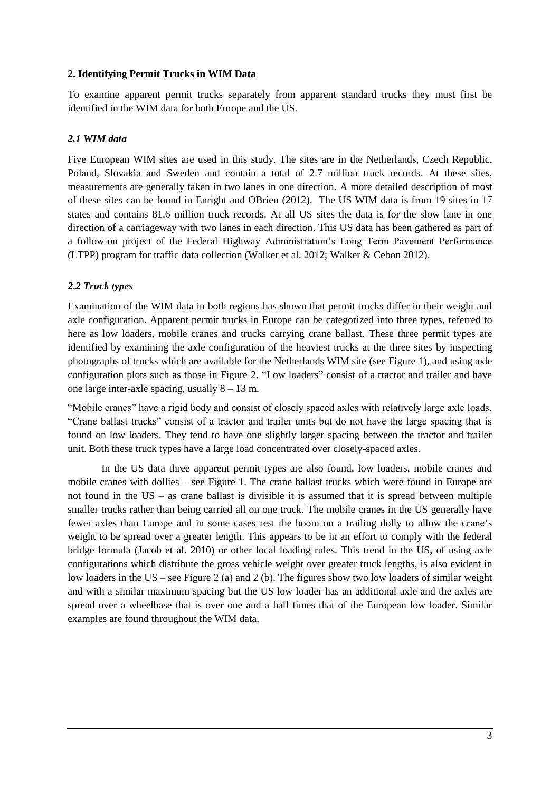## **2. Identifying Permit Trucks in WIM Data**

To examine apparent permit trucks separately from apparent standard trucks they must first be identified in the WIM data for both Europe and the US.

# *2.1 WIM data*

Five European WIM sites are used in this study. The sites are in the Netherlands, Czech Republic, Poland, Slovakia and Sweden and contain a total of 2.7 million truck records. At these sites, measurements are generally taken in two lanes in one direction. A more detailed description of most of these sites can be found in Enright and OBrien (2012). The US WIM data is from 19 sites in 17 states and contains 81.6 million truck records. At all US sites the data is for the slow lane in one direction of a carriageway with two lanes in each direction. This US data has been gathered as part of a follow-on project of the Federal Highway Administration's Long Term Pavement Performance (LTPP) program for traffic data collection (Walker et al. 2012; Walker & Cebon 2012).

## *2.2 Truck types*

Examination of the WIM data in both regions has shown that permit trucks differ in their weight and axle configuration. Apparent permit trucks in Europe can be categorized into three types, referred to here as low loaders, mobile cranes and trucks carrying crane ballast. These three permit types are identified by examining the axle configuration of the heaviest trucks at the three sites by inspecting photographs of trucks which are available for the Netherlands WIM site (see Figure 1), and using axle configuration plots such as those in Figure 2. "Low loaders" consist of a tractor and trailer and have one large inter-axle spacing, usually  $8 - 13$  m.

"Mobile cranes" have a rigid body and consist of closely spaced axles with relatively large axle loads. "Crane ballast trucks" consist of a tractor and trailer units but do not have the large spacing that is found on low loaders. They tend to have one slightly larger spacing between the tractor and trailer unit. Both these truck types have a large load concentrated over closely-spaced axles.

In the US data three apparent permit types are also found, low loaders, mobile cranes and mobile cranes with dollies – see Figure 1. The crane ballast trucks which were found in Europe are not found in the US – as crane ballast is divisible it is assumed that it is spread between multiple smaller trucks rather than being carried all on one truck. The mobile cranes in the US generally have fewer axles than Europe and in some cases rest the boom on a trailing dolly to allow the crane's weight to be spread over a greater length. This appears to be in an effort to comply with the federal bridge formula (Jacob et al. 2010) or other local loading rules. This trend in the US, of using axle configurations which distribute the gross vehicle weight over greater truck lengths, is also evident in low loaders in the US – see Figure 2 (a) and 2 (b). The figures show two low loaders of similar weight and with a similar maximum spacing but the US low loader has an additional axle and the axles are spread over a wheelbase that is over one and a half times that of the European low loader. Similar examples are found throughout the WIM data.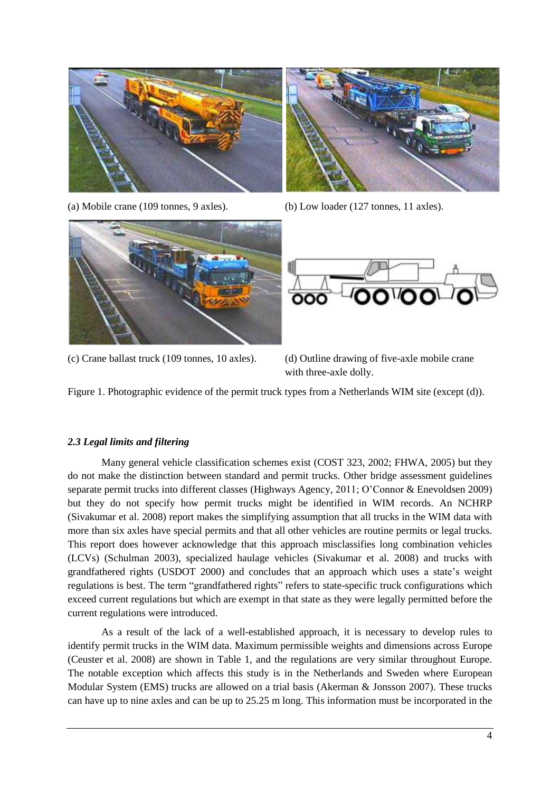

(a) Mobile crane (109 tonnes, 9 axles). (b) Low loader (127 tonnes, 11 axles).





00100 ooo

(c) Crane ballast truck (109 tonnes, 10 axles). (d) Outline drawing of five-axle mobile crane

with three-axle dolly.

Figure 1. Photographic evidence of the permit truck types from a Netherlands WIM site (except (d)).

# *2.3 Legal limits and filtering*

Many general vehicle classification schemes exist (COST 323, 2002; FHWA, 2005) but they do not make the distinction between standard and permit trucks. Other bridge assessment guidelines separate permit trucks into different classes (Highways Agency, 2011; O'Connor & Enevoldsen 2009) but they do not specify how permit trucks might be identified in WIM records. An NCHRP (Sivakumar et al. 2008) report makes the simplifying assumption that all trucks in the WIM data with more than six axles have special permits and that all other vehicles are routine permits or legal trucks. This report does however acknowledge that this approach misclassifies long combination vehicles (LCVs) (Schulman 2003), specialized haulage vehicles (Sivakumar et al. 2008) and trucks with grandfathered rights (USDOT 2000) and concludes that an approach which uses a state's weight regulations is best. The term "grandfathered rights" refers to state-specific truck configurations which exceed current regulations but which are exempt in that state as they were legally permitted before the current regulations were introduced.

As a result of the lack of a well-established approach, it is necessary to develop rules to identify permit trucks in the WIM data. Maximum permissible weights and dimensions across Europe (Ceuster et al. 2008) are shown in Table 1, and the regulations are very similar throughout Europe. The notable exception which affects this study is in the Netherlands and Sweden where European Modular System (EMS) trucks are allowed on a trial basis (Akerman & Jonsson 2007). These trucks can have up to nine axles and can be up to 25.25 m long. This information must be incorporated in the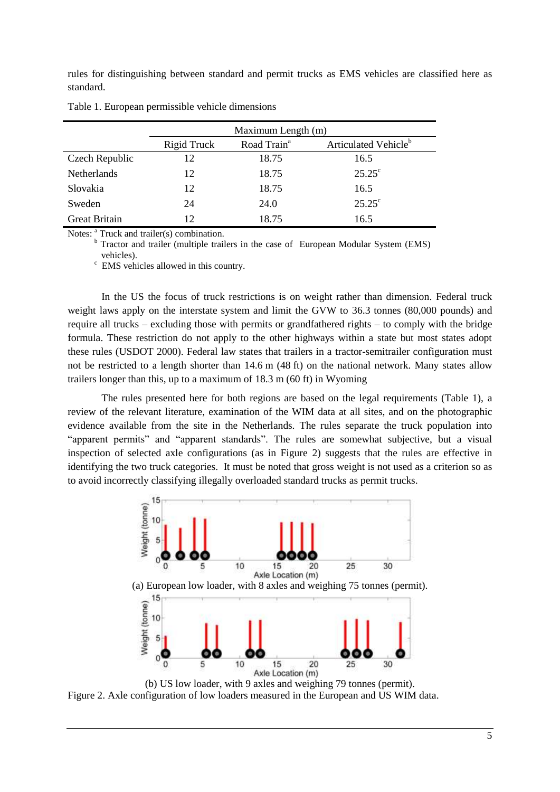rules for distinguishing between standard and permit trucks as EMS vehicles are classified here as standard.

|                      | Maximum Length (m) |                         |                                  |
|----------------------|--------------------|-------------------------|----------------------------------|
|                      | Rigid Truck        | Road Train <sup>a</sup> | Articulated Vehicle <sup>b</sup> |
| Czech Republic       | 12                 | 18.75                   | 16.5                             |
| <b>Netherlands</b>   | 12                 | 18.75                   | $25.25^{\circ}$                  |
| Slovakia             | 12                 | 18.75                   | 16.5                             |
| Sweden               | 24                 | 24.0                    | $25.25^{\circ}$                  |
| <b>Great Britain</b> | 12                 | 18.75                   | 16.5                             |

Table 1. European permissible vehicle dimensions

Notes: <sup>a</sup> Truck and trailer(s) combination.

b Tractor and trailer (multiple trailers in the case of European Modular System (EMS) vehicles).

<sup>c</sup> EMS vehicles allowed in this country.

In the US the focus of truck restrictions is on weight rather than dimension. Federal truck weight laws apply on the interstate system and limit the GVW to 36.3 tonnes (80,000 pounds) and require all trucks – excluding those with permits or grandfathered rights – to comply with the bridge formula. These restriction do not apply to the other highways within a state but most states adopt these rules (USDOT 2000). Federal law states that trailers in a tractor-semitrailer configuration must not be restricted to a length shorter than 14.6 m (48 ft) on the national network. Many states allow trailers longer than this, up to a maximum of 18.3 m (60 ft) in Wyoming

The rules presented here for both regions are based on the legal requirements (Table 1), a review of the relevant literature, examination of the WIM data at all sites, and on the photographic evidence available from the site in the Netherlands. The rules separate the truck population into "apparent permits" and "apparent standards". The rules are somewhat subjective, but a visual inspection of selected axle configurations (as in Figure 2) suggests that the rules are effective in identifying the two truck categories. It must be noted that gross weight is not used as a criterion so as to avoid incorrectly classifying illegally overloaded standard trucks as permit trucks.



Figure 2. Axle configuration of low loaders measured in the European and US WIM data.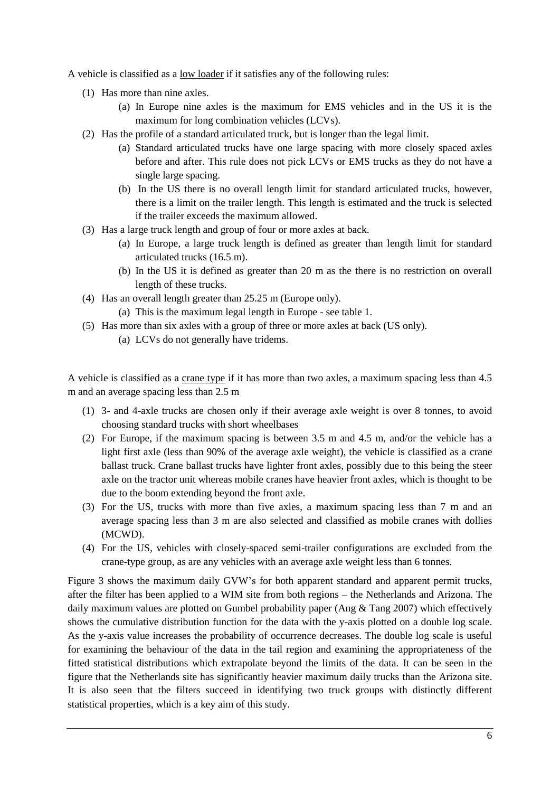A vehicle is classified as a low loader if it satisfies any of the following rules:

- (1) Has more than nine axles.
	- (a) In Europe nine axles is the maximum for EMS vehicles and in the US it is the maximum for long combination vehicles (LCVs).
- (2) Has the profile of a standard articulated truck, but is longer than the legal limit.
	- (a) Standard articulated trucks have one large spacing with more closely spaced axles before and after. This rule does not pick LCVs or EMS trucks as they do not have a single large spacing.
	- (b) In the US there is no overall length limit for standard articulated trucks, however, there is a limit on the trailer length. This length is estimated and the truck is selected if the trailer exceeds the maximum allowed.
- (3) Has a large truck length and group of four or more axles at back.
	- (a) In Europe, a large truck length is defined as greater than length limit for standard articulated trucks (16.5 m).
	- (b) In the US it is defined as greater than 20 m as the there is no restriction on overall length of these trucks.
- (4) Has an overall length greater than 25.25 m (Europe only).
	- (a) This is the maximum legal length in Europe see table 1.
- (5) Has more than six axles with a group of three or more axles at back (US only).
	- (a) LCVs do not generally have tridems.

A vehicle is classified as a crane type if it has more than two axles, a maximum spacing less than 4.5 m and an average spacing less than 2.5 m

- (1) 3- and 4-axle trucks are chosen only if their average axle weight is over 8 tonnes, to avoid choosing standard trucks with short wheelbases
- (2) For Europe, if the maximum spacing is between 3.5 m and 4.5 m, and/or the vehicle has a light first axle (less than 90% of the average axle weight), the vehicle is classified as a crane ballast truck. Crane ballast trucks have lighter front axles, possibly due to this being the steer axle on the tractor unit whereas mobile cranes have heavier front axles, which is thought to be due to the boom extending beyond the front axle.
- (3) For the US, trucks with more than five axles, a maximum spacing less than 7 m and an average spacing less than 3 m are also selected and classified as mobile cranes with dollies (MCWD).
- (4) For the US, vehicles with closely-spaced semi-trailer configurations are excluded from the crane-type group, as are any vehicles with an average axle weight less than 6 tonnes.

Figure 3 shows the maximum daily GVW's for both apparent standard and apparent permit trucks, after the filter has been applied to a WIM site from both regions – the Netherlands and Arizona. The daily maximum values are plotted on Gumbel probability paper (Ang & Tang 2007) which effectively shows the cumulative distribution function for the data with the y-axis plotted on a double log scale. As the y-axis value increases the probability of occurrence decreases. The double log scale is useful for examining the behaviour of the data in the tail region and examining the appropriateness of the fitted statistical distributions which extrapolate beyond the limits of the data. It can be seen in the figure that the Netherlands site has significantly heavier maximum daily trucks than the Arizona site. It is also seen that the filters succeed in identifying two truck groups with distinctly different statistical properties, which is a key aim of this study.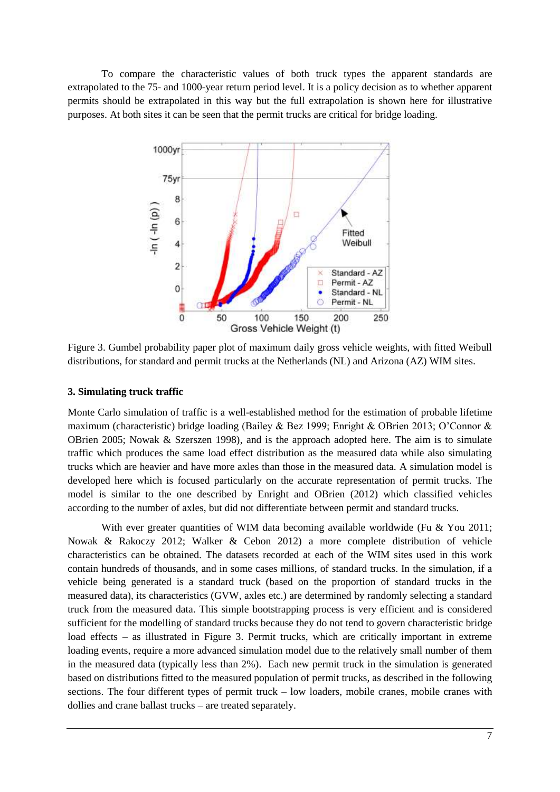To compare the characteristic values of both truck types the apparent standards are extrapolated to the 75- and 1000-year return period level. It is a policy decision as to whether apparent permits should be extrapolated in this way but the full extrapolation is shown here for illustrative purposes. At both sites it can be seen that the permit trucks are critical for bridge loading.



Figure 3. Gumbel probability paper plot of maximum daily gross vehicle weights, with fitted Weibull distributions, for standard and permit trucks at the Netherlands (NL) and Arizona (AZ) WIM sites.

#### **3. Simulating truck traffic**

Monte Carlo simulation of traffic is a well-established method for the estimation of probable lifetime maximum (characteristic) bridge loading (Bailey & Bez 1999; Enright & OBrien 2013; O'Connor & OBrien 2005; Nowak & Szerszen 1998), and is the approach adopted here. The aim is to simulate traffic which produces the same load effect distribution as the measured data while also simulating trucks which are heavier and have more axles than those in the measured data. A simulation model is developed here which is focused particularly on the accurate representation of permit trucks. The model is similar to the one described by Enright and OBrien (2012) which classified vehicles according to the number of axles, but did not differentiate between permit and standard trucks.

With ever greater quantities of WIM data becoming available worldwide (Fu & You 2011; Nowak & Rakoczy 2012; Walker & Cebon 2012) a more complete distribution of vehicle characteristics can be obtained. The datasets recorded at each of the WIM sites used in this work contain hundreds of thousands, and in some cases millions, of standard trucks. In the simulation, if a vehicle being generated is a standard truck (based on the proportion of standard trucks in the measured data), its characteristics (GVW, axles etc.) are determined by randomly selecting a standard truck from the measured data. This simple bootstrapping process is very efficient and is considered sufficient for the modelling of standard trucks because they do not tend to govern characteristic bridge load effects – as illustrated in Figure 3. Permit trucks, which are critically important in extreme loading events, require a more advanced simulation model due to the relatively small number of them in the measured data (typically less than 2%). Each new permit truck in the simulation is generated based on distributions fitted to the measured population of permit trucks, as described in the following sections. The four different types of permit truck – low loaders, mobile cranes, mobile cranes with dollies and crane ballast trucks – are treated separately.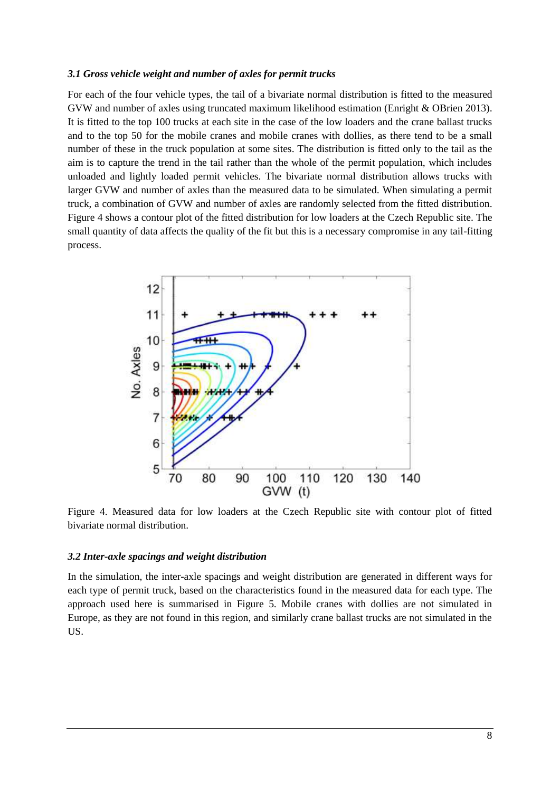#### *3.1 Gross vehicle weight and number of axles for permit trucks*

For each of the four vehicle types, the tail of a bivariate normal distribution is fitted to the measured GVW and number of axles using truncated maximum likelihood estimation (Enright & OBrien 2013). It is fitted to the top 100 trucks at each site in the case of the low loaders and the crane ballast trucks and to the top 50 for the mobile cranes and mobile cranes with dollies, as there tend to be a small number of these in the truck population at some sites. The distribution is fitted only to the tail as the aim is to capture the trend in the tail rather than the whole of the permit population, which includes unloaded and lightly loaded permit vehicles. The bivariate normal distribution allows trucks with larger GVW and number of axles than the measured data to be simulated. When simulating a permit truck, a combination of GVW and number of axles are randomly selected from the fitted distribution. Figure 4 shows a contour plot of the fitted distribution for low loaders at the Czech Republic site. The small quantity of data affects the quality of the fit but this is a necessary compromise in any tail-fitting process.



Figure 4. Measured data for low loaders at the Czech Republic site with contour plot of fitted bivariate normal distribution.

#### *3.2 Inter-axle spacings and weight distribution*

In the simulation, the inter-axle spacings and weight distribution are generated in different ways for each type of permit truck, based on the characteristics found in the measured data for each type. The approach used here is summarised in Figure 5. Mobile cranes with dollies are not simulated in Europe, as they are not found in this region, and similarly crane ballast trucks are not simulated in the US.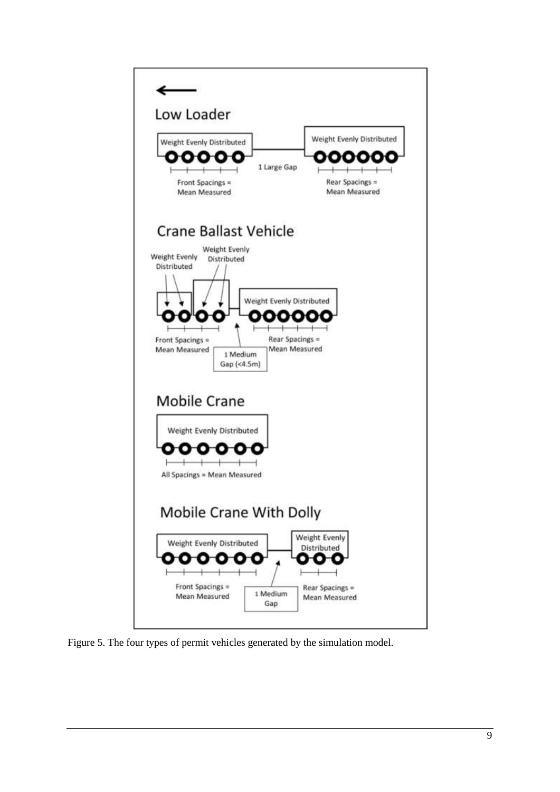

Figure 5. The four types of permit vehicles generated by the simulation model.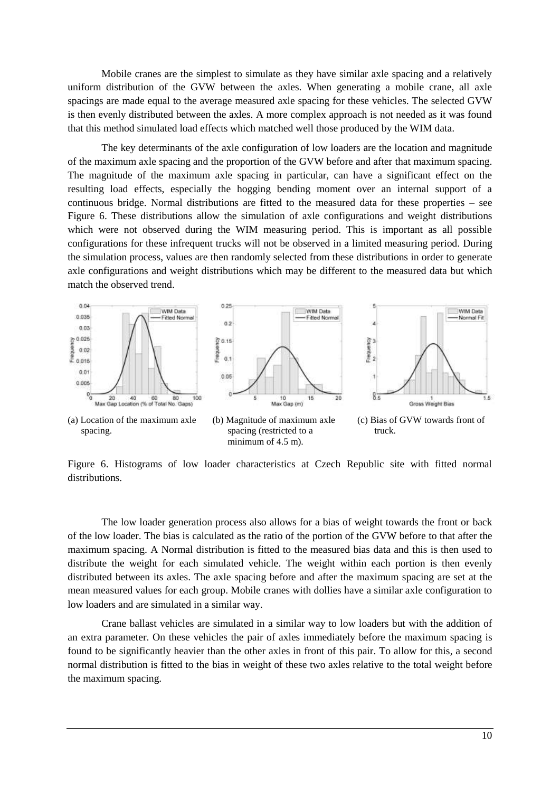Mobile cranes are the simplest to simulate as they have similar axle spacing and a relatively uniform distribution of the GVW between the axles. When generating a mobile crane, all axle spacings are made equal to the average measured axle spacing for these vehicles. The selected GVW is then evenly distributed between the axles. A more complex approach is not needed as it was found that this method simulated load effects which matched well those produced by the WIM data.

The key determinants of the axle configuration of low loaders are the location and magnitude of the maximum axle spacing and the proportion of the GVW before and after that maximum spacing. The magnitude of the maximum axle spacing in particular, can have a significant effect on the resulting load effects, especially the hogging bending moment over an internal support of a continuous bridge. Normal distributions are fitted to the measured data for these properties – see Figure 6. These distributions allow the simulation of axle configurations and weight distributions which were not observed during the WIM measuring period. This is important as all possible configurations for these infrequent trucks will not be observed in a limited measuring period. During the simulation process, values are then randomly selected from these distributions in order to generate axle configurations and weight distributions which may be different to the measured data but which match the observed trend.



Figure 6. Histograms of low loader characteristics at Czech Republic site with fitted normal distributions.

The low loader generation process also allows for a bias of weight towards the front or back of the low loader. The bias is calculated as the ratio of the portion of the GVW before to that after the maximum spacing. A Normal distribution is fitted to the measured bias data and this is then used to distribute the weight for each simulated vehicle. The weight within each portion is then evenly distributed between its axles. The axle spacing before and after the maximum spacing are set at the mean measured values for each group. Mobile cranes with dollies have a similar axle configuration to low loaders and are simulated in a similar way.

Crane ballast vehicles are simulated in a similar way to low loaders but with the addition of an extra parameter. On these vehicles the pair of axles immediately before the maximum spacing is found to be significantly heavier than the other axles in front of this pair. To allow for this, a second normal distribution is fitted to the bias in weight of these two axles relative to the total weight before the maximum spacing.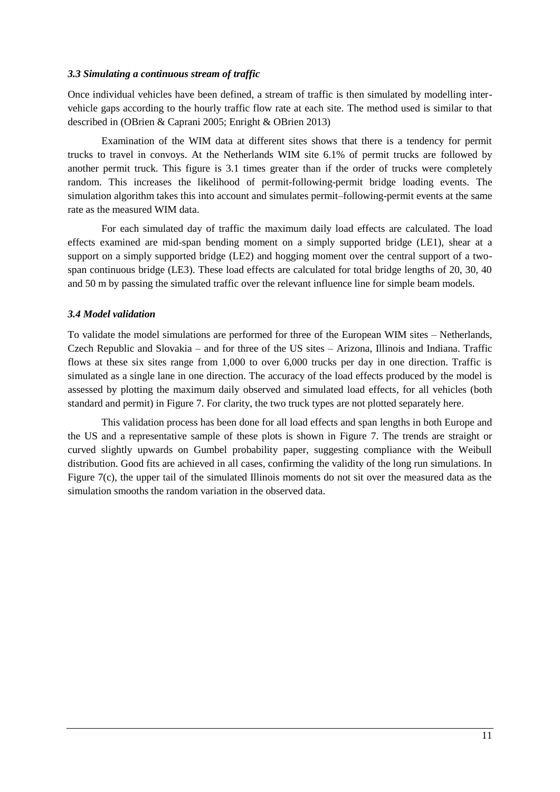## *3.3 Simulating a continuous stream of traffic*

Once individual vehicles have been defined, a stream of traffic is then simulated by modelling intervehicle gaps according to the hourly traffic flow rate at each site. The method used is similar to that described in (OBrien & Caprani 2005; Enright & OBrien 2013)

Examination of the WIM data at different sites shows that there is a tendency for permit trucks to travel in convoys. At the Netherlands WIM site 6.1% of permit trucks are followed by another permit truck. This figure is 3.1 times greater than if the order of trucks were completely random. This increases the likelihood of permit-following-permit bridge loading events. The simulation algorithm takes this into account and simulates permit–following-permit events at the same rate as the measured WIM data.

For each simulated day of traffic the maximum daily load effects are calculated. The load effects examined are mid-span bending moment on a simply supported bridge (LE1), shear at a support on a simply supported bridge (LE2) and hogging moment over the central support of a twospan continuous bridge (LE3). These load effects are calculated for total bridge lengths of 20, 30, 40 and 50 m by passing the simulated traffic over the relevant influence line for simple beam models.

## *3.4 Model validation*

To validate the model simulations are performed for three of the European WIM sites – Netherlands, Czech Republic and Slovakia – and for three of the US sites – Arizona, Illinois and Indiana. Traffic flows at these six sites range from 1,000 to over 6,000 trucks per day in one direction. Traffic is simulated as a single lane in one direction. The accuracy of the load effects produced by the model is assessed by plotting the maximum daily observed and simulated load effects, for all vehicles (both standard and permit) in Figure 7. For clarity, the two truck types are not plotted separately here.

This validation process has been done for all load effects and span lengths in both Europe and the US and a representative sample of these plots is shown in Figure 7. The trends are straight or curved slightly upwards on Gumbel probability paper, suggesting compliance with the Weibull distribution. Good fits are achieved in all cases, confirming the validity of the long run simulations. In Figure 7(c), the upper tail of the simulated Illinois moments do not sit over the measured data as the simulation smooths the random variation in the observed data.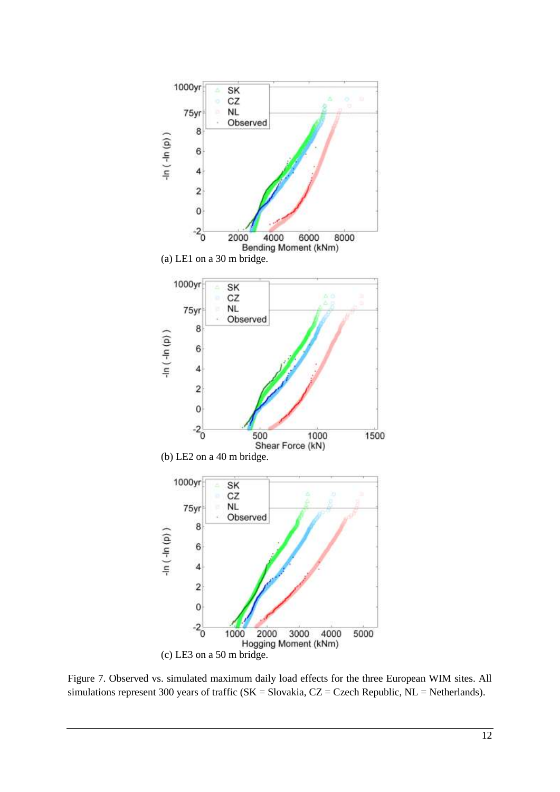

Figure 7. Observed vs. simulated maximum daily load effects for the three European WIM sites. All simulations represent 300 years of traffic ( $SK =$  Slovakia,  $CZ =$  Czech Republic,  $NL =$  Netherlands).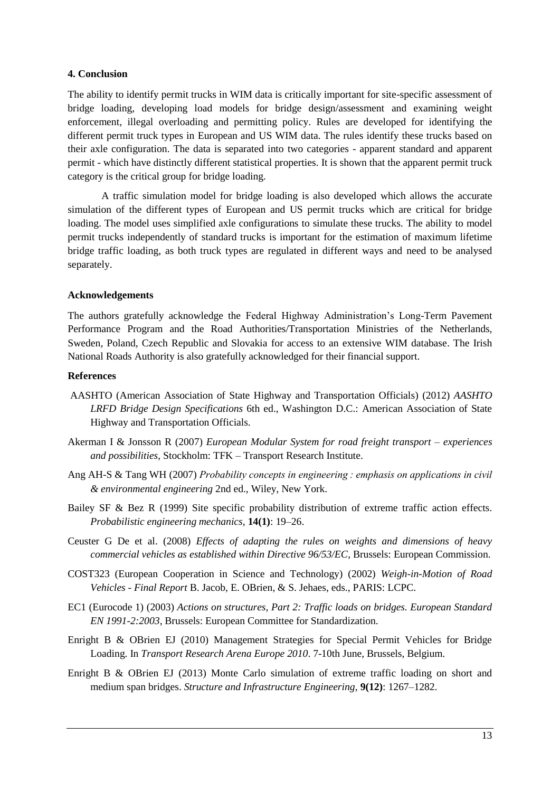#### **4. Conclusion**

The ability to identify permit trucks in WIM data is critically important for site-specific assessment of bridge loading, developing load models for bridge design/assessment and examining weight enforcement, illegal overloading and permitting policy. Rules are developed for identifying the different permit truck types in European and US WIM data. The rules identify these trucks based on their axle configuration. The data is separated into two categories - apparent standard and apparent permit - which have distinctly different statistical properties. It is shown that the apparent permit truck category is the critical group for bridge loading.

A traffic simulation model for bridge loading is also developed which allows the accurate simulation of the different types of European and US permit trucks which are critical for bridge loading. The model uses simplified axle configurations to simulate these trucks. The ability to model permit trucks independently of standard trucks is important for the estimation of maximum lifetime bridge traffic loading, as both truck types are regulated in different ways and need to be analysed separately.

#### **Acknowledgements**

The authors gratefully acknowledge the Federal Highway Administration's Long-Term Pavement Performance Program and the Road Authorities/Transportation Ministries of the Netherlands, Sweden, Poland, Czech Republic and Slovakia for access to an extensive WIM database. The Irish National Roads Authority is also gratefully acknowledged for their financial support.

#### **References**

- AASHTO (American Association of State Highway and Transportation Officials) (2012) *AASHTO LRFD Bridge Design Specifications* 6th ed., Washington D.C.: American Association of State Highway and Transportation Officials.
- Akerman I & Jonsson R (2007) *European Modular System for road freight transport – experiences and possibilities*, Stockholm: TFK – Transport Research Institute.
- Ang AH-S & Tang WH (2007) *Probability concepts in engineering : emphasis on applications in civil & environmental engineering* 2nd ed., Wiley, New York.
- Bailey SF & Bez R (1999) Site specific probability distribution of extreme traffic action effects. *Probabilistic engineering mechanics*, **14(1)**: 19–26.
- Ceuster G De et al. (2008) *Effects of adapting the rules on weights and dimensions of heavy commercial vehicles as established within Directive 96/53/EC*, Brussels: European Commission.
- COST323 (European Cooperation in Science and Technology) (2002) *Weigh-in-Motion of Road Vehicles - Final Report* B. Jacob, E. OBrien, & S. Jehaes, eds., PARIS: LCPC.
- EC1 (Eurocode 1) (2003) *Actions on structures, Part 2: Traffic loads on bridges. European Standard EN 1991-2:2003*, Brussels: European Committee for Standardization.
- Enright B & OBrien EJ (2010) Management Strategies for Special Permit Vehicles for Bridge Loading. In *Transport Research Arena Europe 2010*. 7-10th June, Brussels, Belgium.
- Enright B & OBrien EJ (2013) Monte Carlo simulation of extreme traffic loading on short and medium span bridges. *Structure and Infrastructure Engineering*, **9(12)**: 1267–1282.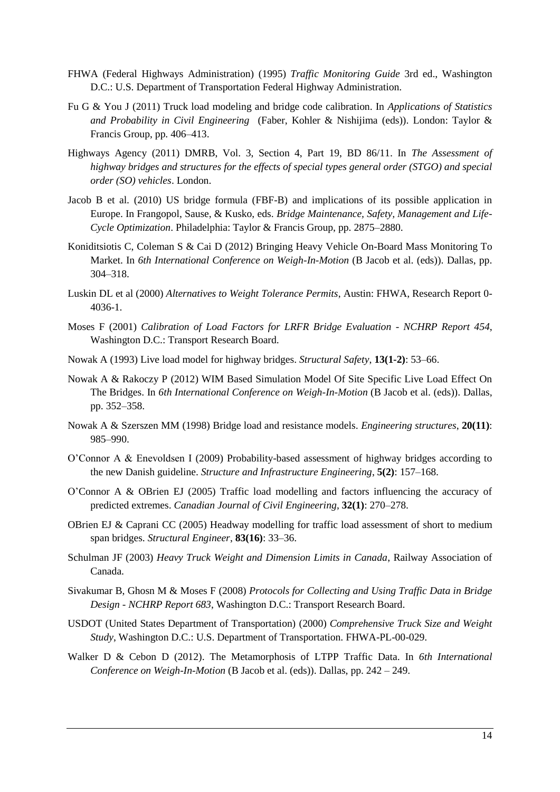- FHWA (Federal Highways Administration) (1995) *Traffic Monitoring Guide* 3rd ed., Washington D.C.: U.S. Department of Transportation Federal Highway Administration.
- Fu G & You J (2011) Truck load modeling and bridge code calibration. In *Applications of Statistics and Probability in Civil Engineering* (Faber, Kohler & Nishijima (eds)). London: Taylor & Francis Group, pp. 406–413.
- Highways Agency (2011) DMRB, Vol. 3, Section 4, Part 19, BD 86/11. In *The Assessment of highway bridges and structures for the effects of special types general order (STGO) and special order (SO) vehicles*. London.
- Jacob B et al. (2010) US bridge formula (FBF-B) and implications of its possible application in Europe. In Frangopol, Sause, & Kusko, eds. *Bridge Maintenance, Safety, Management and Life-Cycle Optimization*. Philadelphia: Taylor & Francis Group, pp. 2875–2880.
- Koniditsiotis C, Coleman S & Cai D (2012) Bringing Heavy Vehicle On-Board Mass Monitoring To Market. In *6th International Conference on Weigh-In-Motion* (B Jacob et al. (eds)). Dallas, pp. 304–318.
- Luskin DL et al (2000) *Alternatives to Weight Tolerance Permits*, Austin: FHWA, Research Report 0- 4036-1.
- Moses F (2001) *Calibration of Load Factors for LRFR Bridge Evaluation - NCHRP Report 454*, Washington D.C.: Transport Research Board.
- Nowak A (1993) Live load model for highway bridges. *Structural Safety*, **13(1-2)**: 53–66.
- Nowak A & Rakoczy P (2012) WIM Based Simulation Model Of Site Specific Live Load Effect On The Bridges. In *6th International Conference on Weigh-In-Motion* (B Jacob et al. (eds)). Dallas, pp. 352–358.
- Nowak A & Szerszen MM (1998) Bridge load and resistance models. *Engineering structures*, **20(11)**: 985–990.
- O'Connor A & Enevoldsen I (2009) Probability-based assessment of highway bridges according to the new Danish guideline. *Structure and Infrastructure Engineering*, **5(2)**: 157–168.
- O'Connor A & OBrien EJ (2005) Traffic load modelling and factors influencing the accuracy of predicted extremes. *Canadian Journal of Civil Engineering*, **32(1)**: 270–278.
- OBrien EJ & Caprani CC (2005) Headway modelling for traffic load assessment of short to medium span bridges. *Structural Engineer*, **83(16)**: 33–36.
- Schulman JF (2003) *Heavy Truck Weight and Dimension Limits in Canada*, Railway Association of Canada.
- Sivakumar B, Ghosn M & Moses F (2008) *Protocols for Collecting and Using Traffic Data in Bridge Design - NCHRP Report 683*, Washington D.C.: Transport Research Board.
- USDOT (United States Department of Transportation) (2000) *Comprehensive Truck Size and Weight Study*, Washington D.C.: U.S. Department of Transportation. FHWA-PL-00-029.
- Walker D & Cebon D (2012). The Metamorphosis of LTPP Traffic Data. In *6th International Conference on Weigh-In-Motion* (B Jacob et al. (eds)). Dallas, pp. 242 – 249.